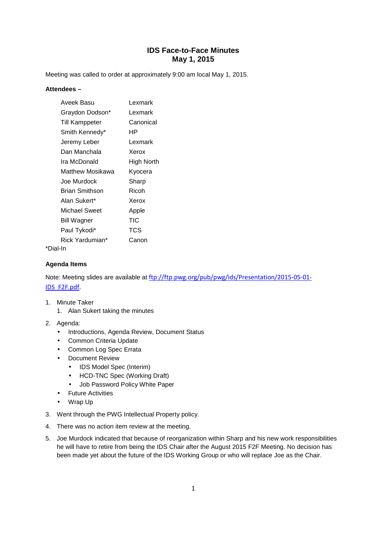Meeting was called to order at approximately 9:00 am local May 1, 2015.

### **Attendees –**

| Aveek Basu            | Lexmark           |
|-----------------------|-------------------|
| Graydon Dodson*       | Lexmark           |
| <b>Till Kamppeter</b> | Canonical         |
| Smith Kennedy*        | ΗP                |
| Jeremy Leber          | Lexmark           |
| Dan Manchala          | Xerox             |
| Ira McDonald          | <b>High North</b> |
| Matthew Mosikawa      | Kyocera           |
| Joe Murdock           | Sharp             |
| Brian Smithson        | Ricoh             |
| Alan Sukert*          | Xerox             |
| Michael Sweet         | Apple             |
| <b>Bill Wagner</b>    | TIC               |
| Paul Tykodi*          | TCS               |
| Rick Yardumian*       | Canon             |
|                       |                   |

# \*Dial-In

### **Agenda Items**

Note: Meeting slides are available at ftp://ftp.pwg.org/pub/pwg/ids/Presentation/2015-05-01- IDS\_F2F.pdf.

- 1. Minute Taker
	- 1. Alan Sukert taking the minutes
- 2. Agenda:
	- Introductions, Agenda Review, Document Status
	- Common Criteria Update
	- Common Log Spec Errata
	- Document Review
		- IDS Model Spec (Interim)
		- HCD-TNC Spec (Working Draft)
		- Job Password Policy White Paper
	- Future Activities
	- Wrap Up
- 3. Went through the PWG Intellectual Property policy.
- 4. There was no action item review at the meeting.
- 5. Joe Murdock indicated that because of reorganization within Sharp and his new work responsibilities he will have to retire from being the IDS Chair after the August 2015 F2F Meeting. No decision has been made yet about the future of the IDS Working Group or who will replace Joe as the Chair.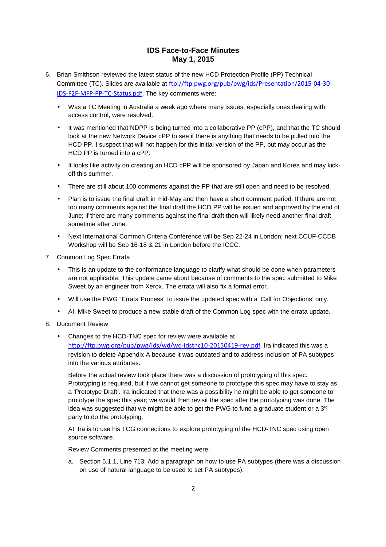- 6. Brian Smithson reviewed the latest status of the new HCD Protection Profile (PP) Technical Committee (TC). Slides are available at ftp://ftp.pwg.org/pub/pwg/ids/Presentation/2015-04-30- IDS-F2F-MFP-PP-TC-Status.pdf. The key comments were:
	- Was a TC Meeting in Australia a week ago where many issues, especially ones dealing with access control, were resolved.
	- It was mentioned that NDPP is being turned into a collaborative PP (cPP), and that the TC should look at the new Network Device cPP to see if there is anything that needs to be pulled into the HCD PP. I suspect that will not happen for this initial version of the PP, but may occur as the HCD PP is turned into a cPP.
	- It looks like activity on creating an HCD cPP will be sponsored by Japan and Korea and may kickoff this summer.
	- There are still about 100 comments against the PP that are still open and need to be resolved.
	- Plan is to issue the final draft in mid-May and then have a short comment period. If there are not too many comments against the final draft the HCD PP will be issued and approved by the end of June; if there are many comments against the final draft then will likely need another final draft sometime after June.
	- Next International Common Criteria Conference will be Sep 22-24 in London; next CCUF-CCDB Workshop will be Sep 16-18 & 21 in London before the ICCC.
- 7. Common Log Spec Errata
	- This is an update to the conformance language to clarify what should be done when parameters are not applicable. This update came about because of comments to the spec submitted to Mike Sweet by an engineer from Xerox. The errata will also fix a format error.
	- Will use the PWG "Errata Process" to issue the updated spec with a 'Call for Objections' only.
	- AI: Mike Sweet to produce a new stable draft of the Common Log spec with the errata update.
- 8. Document Review
	- Changes to the HCD-TNC spec for review were available at http://ftp.pwg.org/pub/pwg/ids/wd/wd-idstnc10-20150419-rev.pdf. Ira indicated this was a revision to delete Appendix A because it was outdated and to address inclusion of PA subtypes into the various attributes.

Before the actual review took place there was a discussion of prototyping of this spec. Prototyping is required, but if we cannot get someone to prototype this spec may have to stay as a 'Prototype Draft'. Ira indicated that there was a possibility he might be able to get someone to prototype the spec this year; we would then revisit the spec after the prototyping was done. The idea was suggested that we might be able to get the PWG to fund a graduate student or a  $3<sup>rd</sup>$ party to do the prototyping.

AI: Ira is to use his TCG connections to explore prototyping of the HCD-TNC spec using open source software.

Review Comments presented at the meeting were:

a. Section 5.1.1, Line 713: Add a paragraph on how to use PA subtypes (there was a discussion on use of natural language to be used to set PA subtypes).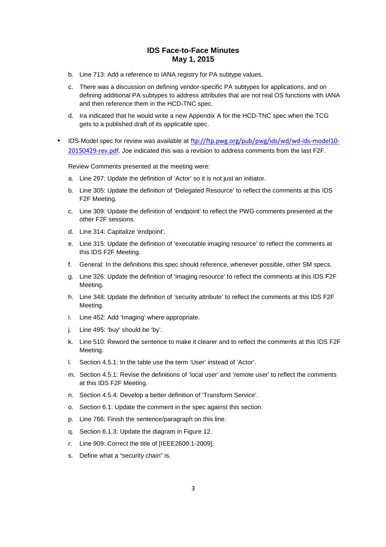- b. Line 713: Add a reference to IANA registry for PA subtype values.
- c. There was a discussion on defining vendor-specific PA subtypes for applications, and on defining additional PA subtypes to address attributes that are not real OS functions with IANA and then reference them in the HCD-TNC spec.
- d. Ira indicated that he would write a new Appendix A for the HCD-TNC spec when the TCG gets to a published draft of its applicable spec.
- IDS-Model spec for review was available at ftp://ftp.pwg.org/pub/pwg/ids/wd/wd-ids-model10- 20150429-rev.pdf. Joe indicated this was a revision to address comments from the last F2F.

Review Comments presented at the meeting were:

- a. Line 297: Update the definition of 'Actor' so it is not just an initiator.
- b. Line 305: Update the definition of 'Delegated Resource' to reflect the comments at this IDS F2F Meeting.
- c. Line 309: Update the definition of 'endpoint' to reflect the PWG comments presented at the other F2F sessions.
- d. Line 314: Capitalize 'endpoint'.
- e. Line 315: Update the definition of 'executable imaging resource' to reflect the comments at this IDS F2F Meeting.
- f. General: In the definitions this spec should reference, whenever possible, other SM specs.
- g. Line 326: Update the definition of 'imaging resource' to reflect the comments at this IDS F2F Meeting.
- h. Line 348: Update the definition of 'security attribute' to reflect the comments at this IDS F2F Meeting.
- i. Line 452: Add 'Imaging' where appropriate.
- j. Line 495: 'buy' should be 'by'.
- k. Line 510: Reword the sentence to make it clearer and to reflect the comments at this IDS F2F Meeting.
- l. Section 4.5.1: In the table use the term 'User' instead of 'Actor'.
- m. Section 4.5.1: Revise the definitions of 'local user' and 'remote user' to reflect the comments at this IDS F2F Meeting.
- n. Section 4.5.4: Develop a better definition of 'Transform Service'.
- o. Section 6.1: Update the comment in the spec against this section.
- p. Line 766: Finish the sentence/paragraph on this line.
- q. Section 6.1.3: Update the diagram in Figure 12.
- r. Line 909: Correct the title of [IEEE2600.1-2009].
- s. Define what a "security chain" is.